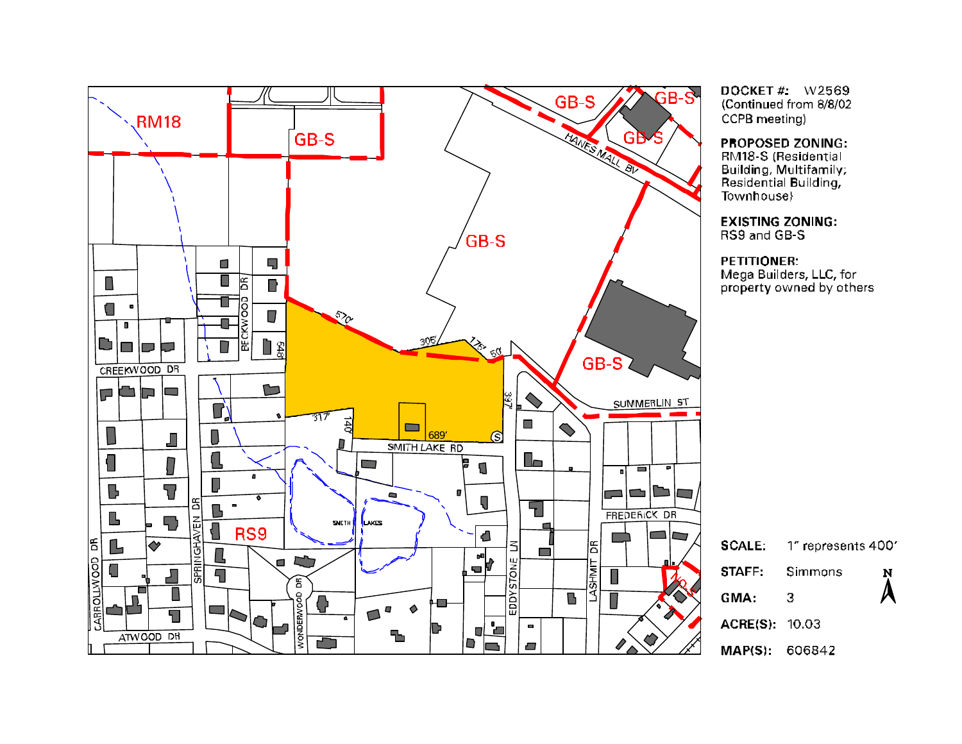

DOCKET  $#$ : W2569 (Continued from 8/8/02 CCPB meeting)

PROPOSED ZONING:

RM18-S (Residential Building, Multifamily, Residential Building, Townhouse}

**EXISTING ZONING:** RS9 and GB-S

PETITIONER: Mega Builders, LLC, for property owned by others

| <b>SCALE:</b>         | 1" represents 400" |                        |
|-----------------------|--------------------|------------------------|
| STAFF:                | Simmons            | N                      |
| GMA:                  | З                  | $\boldsymbol{\lambda}$ |
| <b>ACRE(S): 10.03</b> |                    |                        |
| <b>MAP(S): 606842</b> |                    |                        |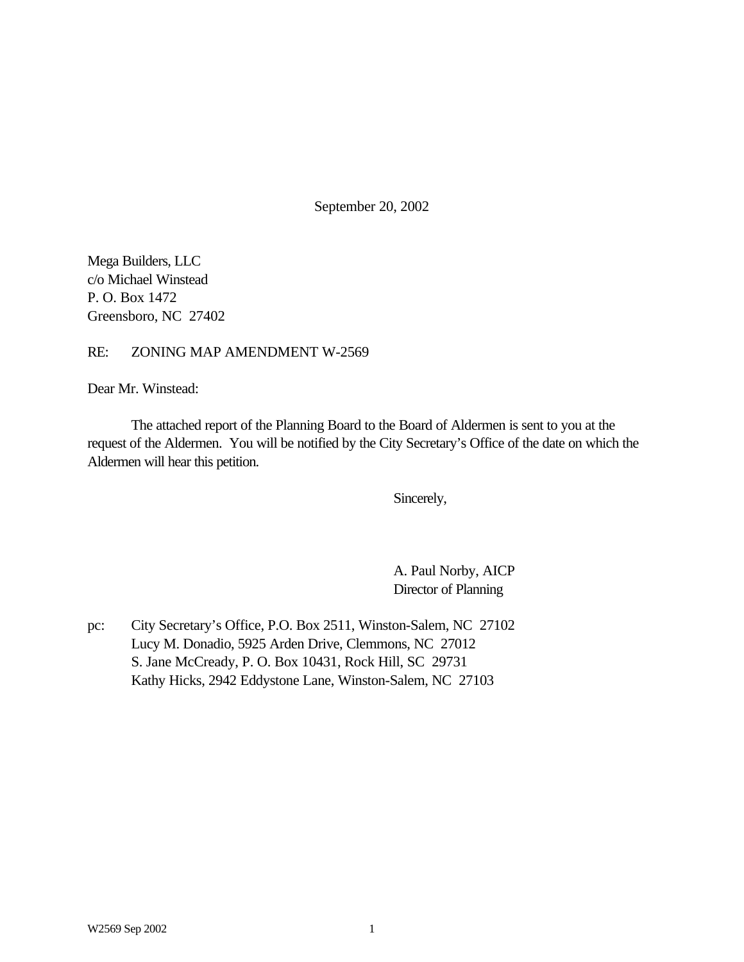September 20, 2002

Mega Builders, LLC c/o Michael Winstead P. O. Box 1472 Greensboro, NC 27402

## RE: ZONING MAP AMENDMENT W-2569

Dear Mr. Winstead:

The attached report of the Planning Board to the Board of Aldermen is sent to you at the request of the Aldermen. You will be notified by the City Secretary's Office of the date on which the Aldermen will hear this petition.

Sincerely,

A. Paul Norby, AICP Director of Planning

pc: City Secretary's Office, P.O. Box 2511, Winston-Salem, NC 27102 Lucy M. Donadio, 5925 Arden Drive, Clemmons, NC 27012 S. Jane McCready, P. O. Box 10431, Rock Hill, SC 29731 Kathy Hicks, 2942 Eddystone Lane, Winston-Salem, NC 27103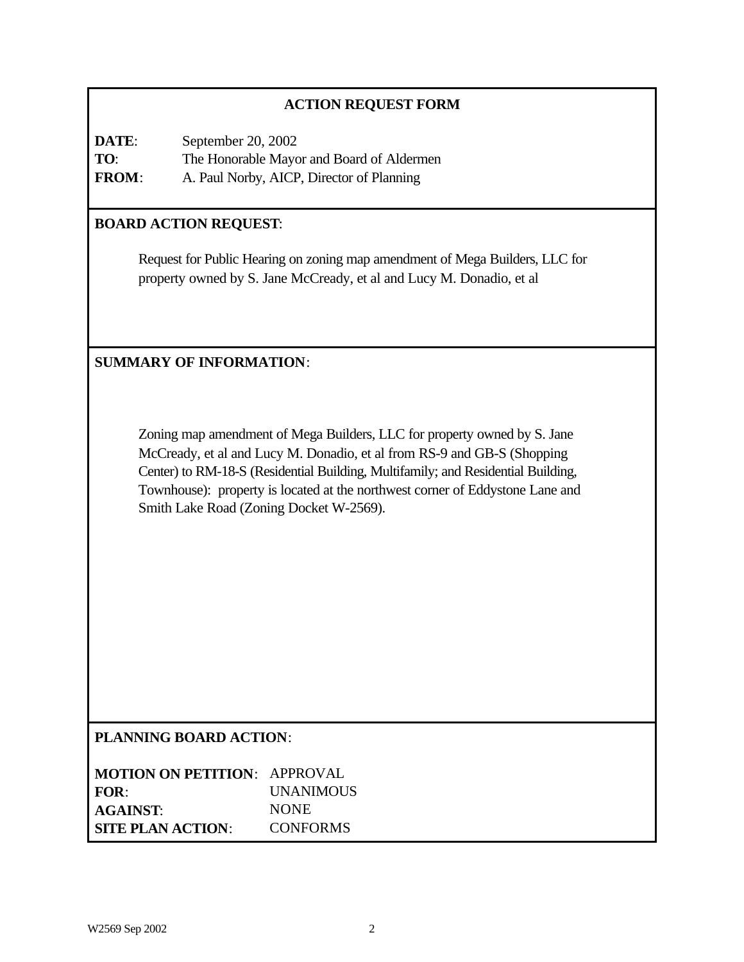## **ACTION REQUEST FORM**

**DATE**: September 20, 2002 **TO**: The Honorable Mayor and Board of Aldermen **FROM**: A. Paul Norby, AICP, Director of Planning

## **BOARD ACTION REQUEST**:

Request for Public Hearing on zoning map amendment of Mega Builders, LLC for property owned by S. Jane McCready, et al and Lucy M. Donadio, et al

## **SUMMARY OF INFORMATION**:

Zoning map amendment of Mega Builders, LLC for property owned by S. Jane McCready, et al and Lucy M. Donadio, et al from RS-9 and GB-S (Shopping Center) to RM-18-S (Residential Building, Multifamily; and Residential Building, Townhouse): property is located at the northwest corner of Eddystone Lane and Smith Lake Road (Zoning Docket W-2569).

## **PLANNING BOARD ACTION**:

| <b>MOTION ON PETITION: APPROVAL</b> |                  |
|-------------------------------------|------------------|
| FOR:                                | <b>UNANIMOUS</b> |
| <b>AGAINST:</b>                     | <b>NONE</b>      |
| <b>SITE PLAN ACTION:</b>            | <b>CONFORMS</b>  |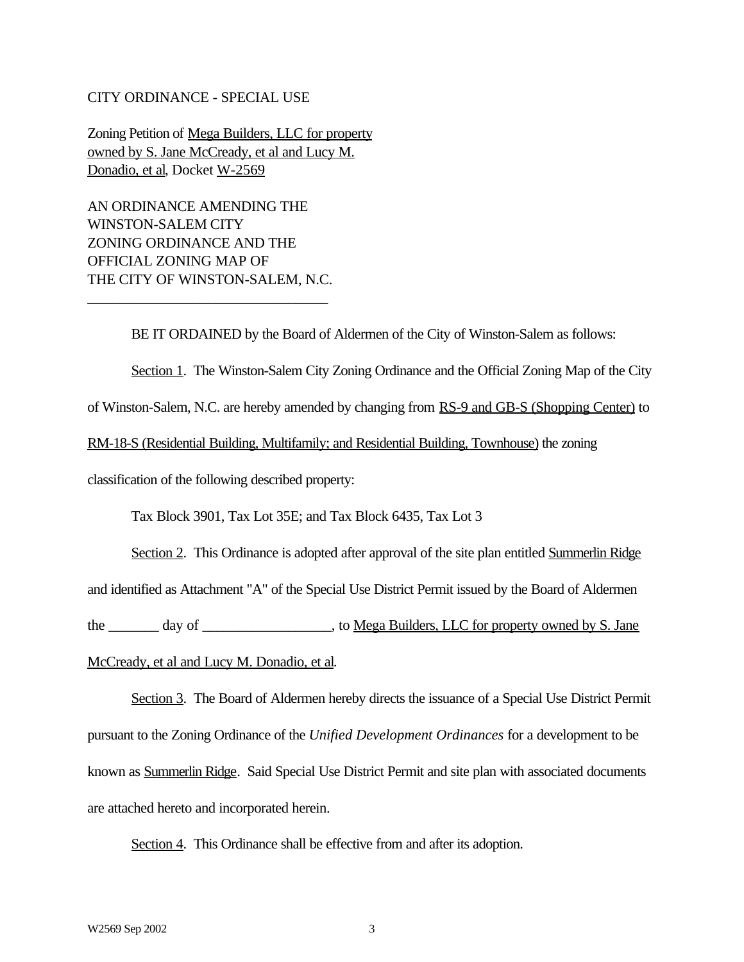#### CITY ORDINANCE - SPECIAL USE

Zoning Petition of Mega Builders, LLC for property owned by S. Jane McCready, et al and Lucy M. Donadio, et al, Docket W-2569

AN ORDINANCE AMENDING THE WINSTON-SALEM CITY ZONING ORDINANCE AND THE OFFICIAL ZONING MAP OF THE CITY OF WINSTON-SALEM, N.C.

\_\_\_\_\_\_\_\_\_\_\_\_\_\_\_\_\_\_\_\_\_\_\_\_\_\_\_\_\_\_\_\_\_

BE IT ORDAINED by the Board of Aldermen of the City of Winston-Salem as follows: Section 1. The Winston-Salem City Zoning Ordinance and the Official Zoning Map of the City of Winston-Salem, N.C. are hereby amended by changing from RS-9 and GB-S (Shopping Center) to RM-18-S (Residential Building, Multifamily; and Residential Building, Townhouse) the zoning classification of the following described property:

Tax Block 3901, Tax Lot 35E; and Tax Block 6435, Tax Lot 3

Section 2. This Ordinance is adopted after approval of the site plan entitled Summerlin Ridge and identified as Attachment "A" of the Special Use District Permit issued by the Board of Aldermen the \_\_\_\_\_\_\_ day of \_\_\_\_\_\_\_\_\_\_\_\_\_\_\_, to <u>Mega Builders, LLC for property owned by S. Jane</u>

## McCready, et al and Lucy M. Donadio, et al.

Section 3. The Board of Aldermen hereby directs the issuance of a Special Use District Permit pursuant to the Zoning Ordinance of the *Unified Development Ordinances* for a development to be known as Summerlin Ridge. Said Special Use District Permit and site plan with associated documents are attached hereto and incorporated herein.

Section 4. This Ordinance shall be effective from and after its adoption.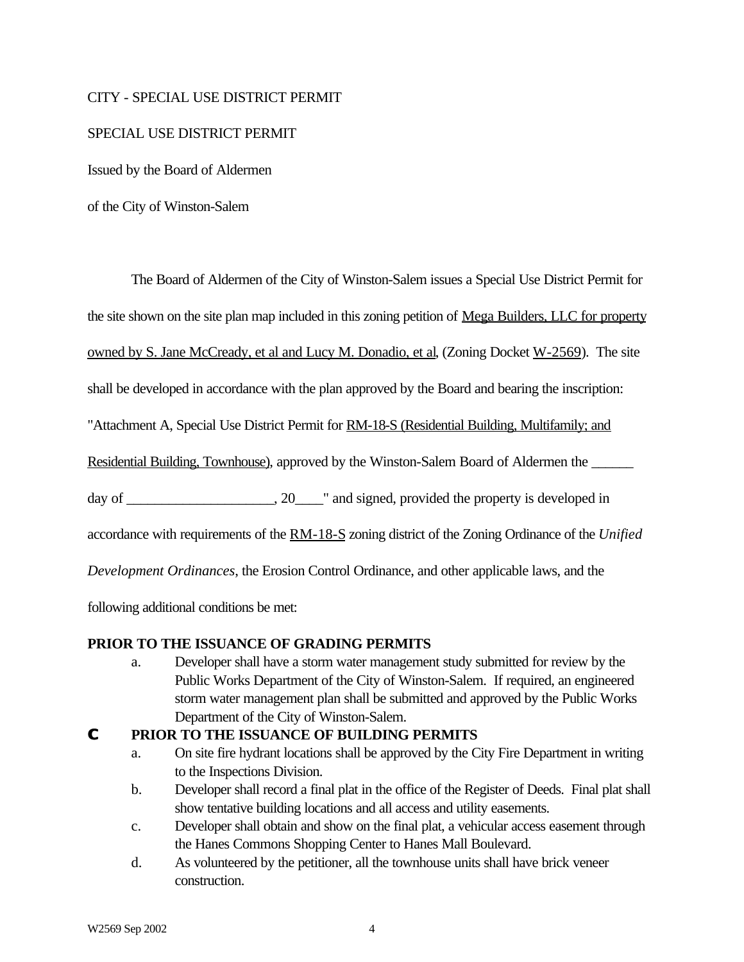## CITY - SPECIAL USE DISTRICT PERMIT

## SPECIAL USE DISTRICT PERMIT

Issued by the Board of Aldermen

of the City of Winston-Salem

The Board of Aldermen of the City of Winston-Salem issues a Special Use District Permit for

the site shown on the site plan map included in this zoning petition of Mega Builders, LLC for property

owned by S. Jane McCready, et al and Lucy M. Donadio, et al, (Zoning Docket W-2569). The site

shall be developed in accordance with the plan approved by the Board and bearing the inscription:

"Attachment A, Special Use District Permit for RM-18-S (Residential Building, Multifamily; and

Residential Building, Townhouse), approved by the Winston-Salem Board of Aldermen the

day of \_\_\_\_\_\_\_\_\_\_\_\_\_\_\_\_\_, 20\_\_\_\_" and signed, provided the property is developed in

accordance with requirements of the RM-18-S zoning district of the Zoning Ordinance of the *Unified*

*Development Ordinances*, the Erosion Control Ordinance, and other applicable laws, and the

following additional conditions be met:

## **PRIOR TO THE ISSUANCE OF GRADING PERMITS**

a. Developer shall have a storm water management study submitted for review by the Public Works Department of the City of Winston-Salem. If required, an engineered storm water management plan shall be submitted and approved by the Public Works Department of the City of Winston-Salem.

## **C PRIOR TO THE ISSUANCE OF BUILDING PERMITS**

- a. On site fire hydrant locations shall be approved by the City Fire Department in writing to the Inspections Division.
- b. Developer shall record a final plat in the office of the Register of Deeds. Final plat shall show tentative building locations and all access and utility easements.
- c. Developer shall obtain and show on the final plat, a vehicular access easement through the Hanes Commons Shopping Center to Hanes Mall Boulevard.
- d. As volunteered by the petitioner, all the townhouse units shall have brick veneer construction.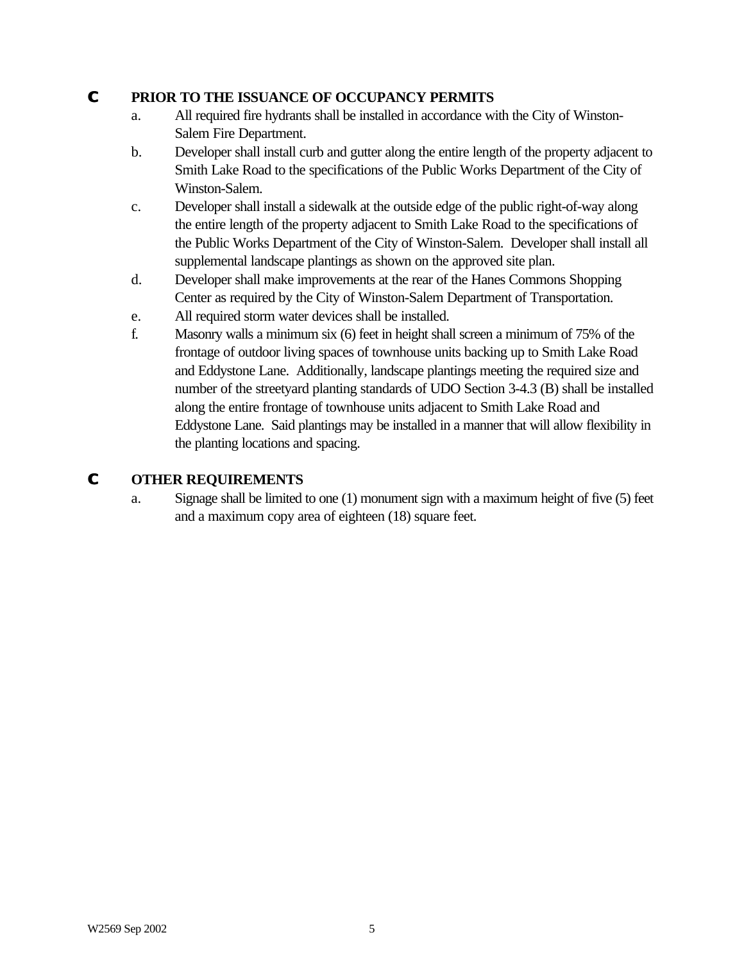## **C PRIOR TO THE ISSUANCE OF OCCUPANCY PERMITS**

- a. All required fire hydrants shall be installed in accordance with the City of Winston-Salem Fire Department.
- b. Developer shall install curb and gutter along the entire length of the property adjacent to Smith Lake Road to the specifications of the Public Works Department of the City of Winston-Salem.
- c. Developer shall install a sidewalk at the outside edge of the public right-of-way along the entire length of the property adjacent to Smith Lake Road to the specifications of the Public Works Department of the City of Winston-Salem. Developer shall install all supplemental landscape plantings as shown on the approved site plan.
- d. Developer shall make improvements at the rear of the Hanes Commons Shopping Center as required by the City of Winston-Salem Department of Transportation.
- e. All required storm water devices shall be installed.
- f. Masonry walls a minimum six (6) feet in height shall screen a minimum of 75% of the frontage of outdoor living spaces of townhouse units backing up to Smith Lake Road and Eddystone Lane. Additionally, landscape plantings meeting the required size and number of the streetyard planting standards of UDO Section 3-4.3 (B) shall be installed along the entire frontage of townhouse units adjacent to Smith Lake Road and Eddystone Lane. Said plantings may be installed in a manner that will allow flexibility in the planting locations and spacing.

# **C OTHER REQUIREMENTS**

a. Signage shall be limited to one (1) monument sign with a maximum height of five (5) feet and a maximum copy area of eighteen (18) square feet.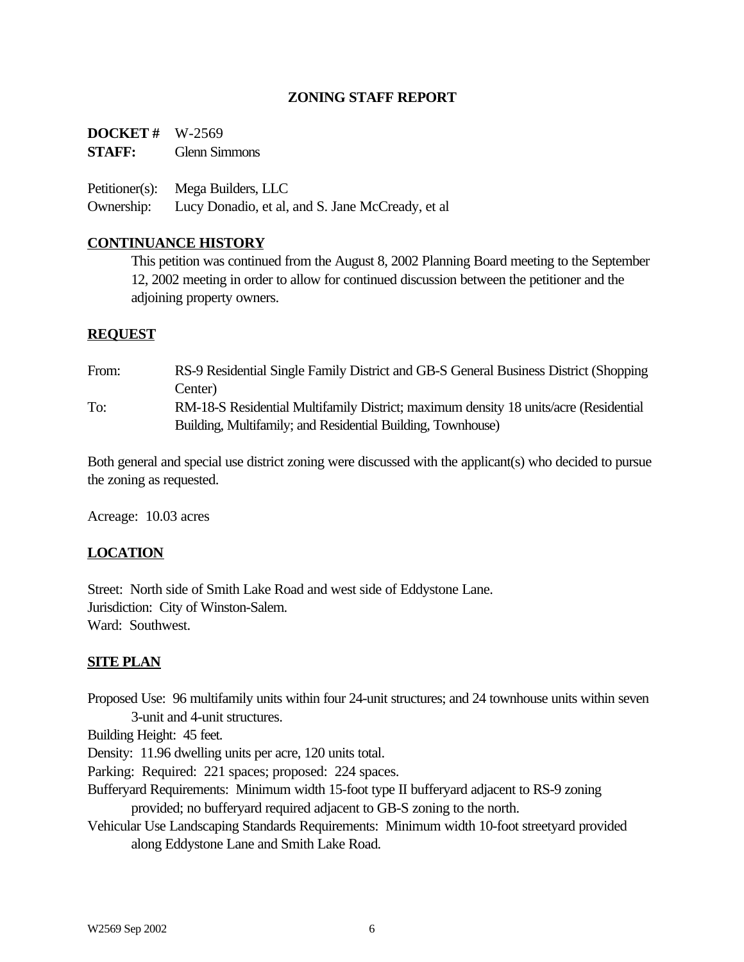## **ZONING STAFF REPORT**

**DOCKET #** W-2569 **STAFF:** Glenn Simmons

Petitioner(s): Mega Builders, LLC Ownership: Lucy Donadio, et al, and S. Jane McCready, et al

## **CONTINUANCE HISTORY**

This petition was continued from the August 8, 2002 Planning Board meeting to the September 12, 2002 meeting in order to allow for continued discussion between the petitioner and the adjoining property owners.

### **REQUEST**

From: RS-9 Residential Single Family District and GB-S General Business District (Shopping Center) To: RM-18-S Residential Multifamily District; maximum density 18 units/acre (Residential Building, Multifamily; and Residential Building, Townhouse)

Both general and special use district zoning were discussed with the applicant(s) who decided to pursue the zoning as requested.

Acreage: 10.03 acres

## **LOCATION**

Street: North side of Smith Lake Road and west side of Eddystone Lane. Jurisdiction: City of Winston-Salem. Ward: Southwest.

#### **SITE PLAN**

Proposed Use: 96 multifamily units within four 24-unit structures; and 24 townhouse units within seven 3-unit and 4-unit structures.

Building Height: 45 feet.

Density: 11.96 dwelling units per acre, 120 units total.

Parking: Required: 221 spaces; proposed: 224 spaces.

- Bufferyard Requirements: Minimum width 15-foot type II bufferyard adjacent to RS-9 zoning provided; no bufferyard required adjacent to GB-S zoning to the north.
- Vehicular Use Landscaping Standards Requirements: Minimum width 10-foot streetyard provided along Eddystone Lane and Smith Lake Road.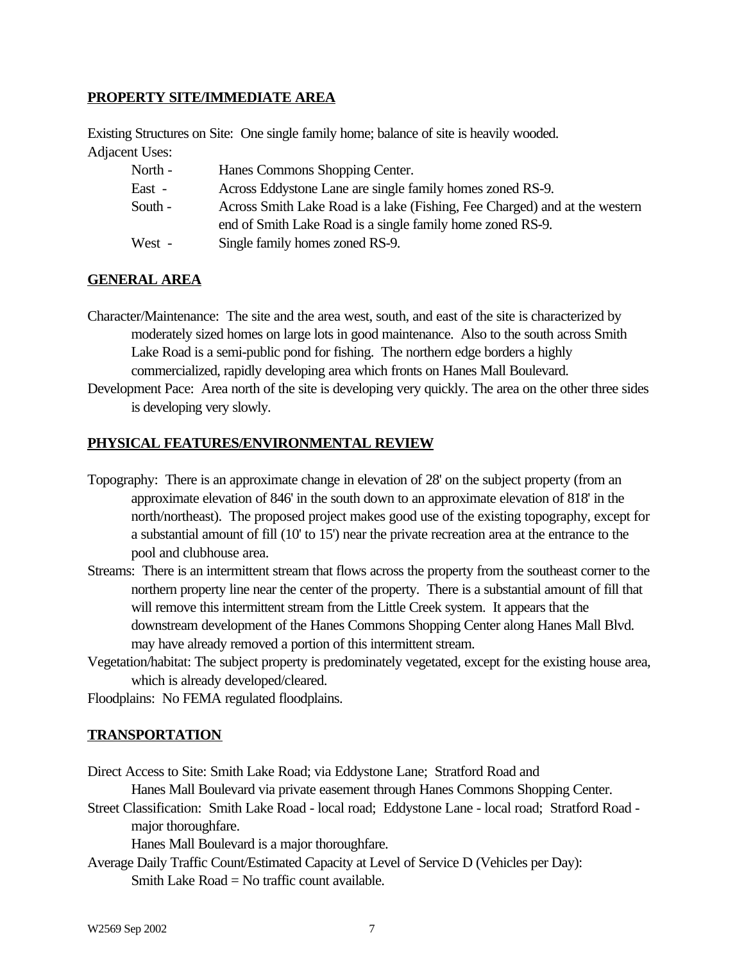## **PROPERTY SITE/IMMEDIATE AREA**

Existing Structures on Site: One single family home; balance of site is heavily wooded. Adjacent Uses:

| North - | Hanes Commons Shopping Center.                                             |
|---------|----------------------------------------------------------------------------|
| East -  | Across Eddystone Lane are single family homes zoned RS-9.                  |
| South - | Across Smith Lake Road is a lake (Fishing, Fee Charged) and at the western |
|         | end of Smith Lake Road is a single family home zoned RS-9.                 |
| West -  | Single family homes zoned RS-9.                                            |

### **GENERAL AREA**

- Character/Maintenance: The site and the area west, south, and east of the site is characterized by moderately sized homes on large lots in good maintenance. Also to the south across Smith Lake Road is a semi-public pond for fishing. The northern edge borders a highly commercialized, rapidly developing area which fronts on Hanes Mall Boulevard.
- Development Pace: Area north of the site is developing very quickly. The area on the other three sides is developing very slowly.

#### **PHYSICAL FEATURES/ENVIRONMENTAL REVIEW**

- Topography: There is an approximate change in elevation of 28' on the subject property (from an approximate elevation of 846' in the south down to an approximate elevation of 818' in the north/northeast). The proposed project makes good use of the existing topography, except for a substantial amount of fill (10' to 15') near the private recreation area at the entrance to the pool and clubhouse area.
- Streams: There is an intermittent stream that flows across the property from the southeast corner to the northern property line near the center of the property. There is a substantial amount of fill that will remove this intermittent stream from the Little Creek system. It appears that the downstream development of the Hanes Commons Shopping Center along Hanes Mall Blvd. may have already removed a portion of this intermittent stream.
- Vegetation/habitat: The subject property is predominately vegetated, except for the existing house area, which is already developed/cleared.

Floodplains: No FEMA regulated floodplains.

#### **TRANSPORTATION**

Direct Access to Site: Smith Lake Road; via Eddystone Lane; Stratford Road and

Hanes Mall Boulevard via private easement through Hanes Commons Shopping Center.

Street Classification: Smith Lake Road - local road; Eddystone Lane - local road; Stratford Road major thoroughfare.

Hanes Mall Boulevard is a major thoroughfare.

Average Daily Traffic Count/Estimated Capacity at Level of Service D (Vehicles per Day): Smith Lake  $Read = No$  traffic count available.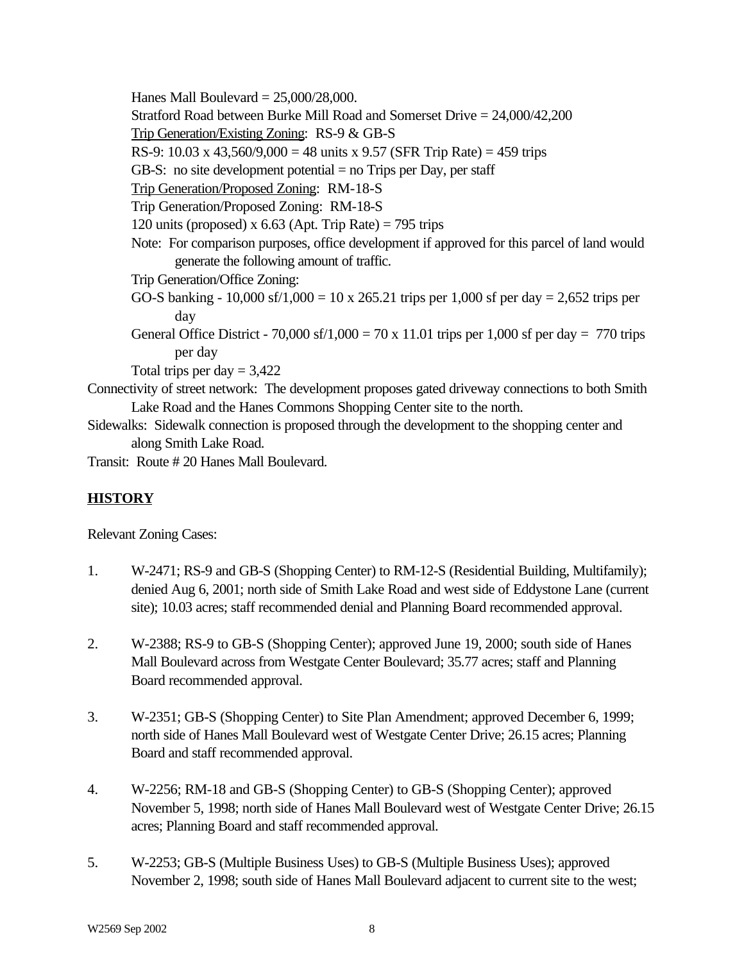Hanes Mall Boulevard  $= 25,000/28,000$ . Stratford Road between Burke Mill Road and Somerset Drive = 24,000/42,200 Trip Generation/Existing Zoning: RS-9 & GB-S RS-9: 10.03 x 43,560/9,000 = 48 units x 9.57 (SFR Trip Rate) = 459 trips GB-S: no site development potential  $=$  no Trips per Day, per staff Trip Generation/Proposed Zoning: RM-18-S Trip Generation/Proposed Zoning: RM-18-S 120 units (proposed) x  $6.63$  (Apt. Trip Rate) = 795 trips Note: For comparison purposes, office development if approved for this parcel of land would generate the following amount of traffic. Trip Generation/Office Zoning: GO-S banking - 10,000 sf/1,000 = 10 x 265.21 trips per 1,000 sf per day = 2,652 trips per day General Office District - 70,000 sf/1,000 = 70 x 11.01 trips per 1,000 sf per day = 770 trips per day Total trips per day  $= 3,422$ Connectivity of street network: The development proposes gated driveway connections to both Smith Lake Road and the Hanes Commons Shopping Center site to the north. Sidewalks: Sidewalk connection is proposed through the development to the shopping center and along Smith Lake Road.

Transit: Route # 20 Hanes Mall Boulevard.

# **HISTORY**

Relevant Zoning Cases:

- 1. W-2471; RS-9 and GB-S (Shopping Center) to RM-12-S (Residential Building, Multifamily); denied Aug 6, 2001; north side of Smith Lake Road and west side of Eddystone Lane (current site); 10.03 acres; staff recommended denial and Planning Board recommended approval.
- 2. W-2388; RS-9 to GB-S (Shopping Center); approved June 19, 2000; south side of Hanes Mall Boulevard across from Westgate Center Boulevard; 35.77 acres; staff and Planning Board recommended approval.
- 3. W-2351; GB-S (Shopping Center) to Site Plan Amendment; approved December 6, 1999; north side of Hanes Mall Boulevard west of Westgate Center Drive; 26.15 acres; Planning Board and staff recommended approval.
- 4. W-2256; RM-18 and GB-S (Shopping Center) to GB-S (Shopping Center); approved November 5, 1998; north side of Hanes Mall Boulevard west of Westgate Center Drive; 26.15 acres; Planning Board and staff recommended approval.
- 5. W-2253; GB-S (Multiple Business Uses) to GB-S (Multiple Business Uses); approved November 2, 1998; south side of Hanes Mall Boulevard adjacent to current site to the west;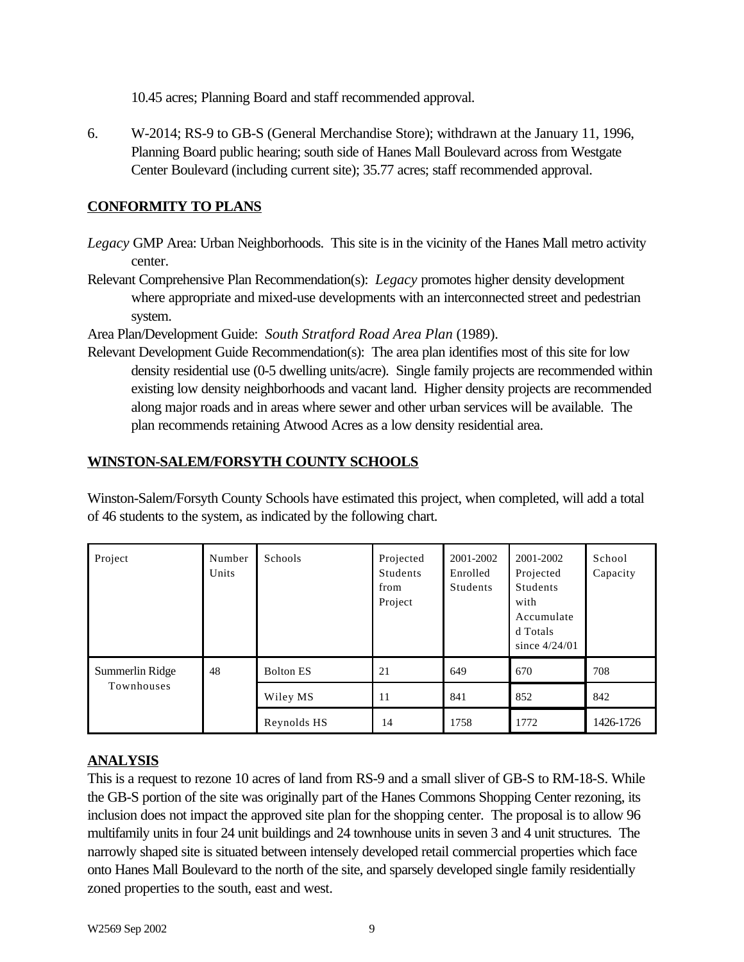10.45 acres; Planning Board and staff recommended approval.

6. W-2014; RS-9 to GB-S (General Merchandise Store); withdrawn at the January 11, 1996, Planning Board public hearing; south side of Hanes Mall Boulevard across from Westgate Center Boulevard (including current site); 35.77 acres; staff recommended approval.

# **CONFORMITY TO PLANS**

- *Legacy* GMP Area: Urban Neighborhoods. This site is in the vicinity of the Hanes Mall metro activity center.
- Relevant Comprehensive Plan Recommendation(s): *Legacy* promotes higher density development where appropriate and mixed-use developments with an interconnected street and pedestrian system.

Area Plan/Development Guide: *South Stratford Road Area Plan* (1989).

Relevant Development Guide Recommendation(s): The area plan identifies most of this site for low density residential use (0-5 dwelling units/acre). Single family projects are recommended within existing low density neighborhoods and vacant land. Higher density projects are recommended along major roads and in areas where sewer and other urban services will be available. The plan recommends retaining Atwood Acres as a low density residential area.

# **WINSTON-SALEM/FORSYTH COUNTY SCHOOLS**

| Project                       | Number<br>Units | Schools          | Projected<br>Students<br>from<br>Project | 2001-2002<br>Enrolled<br>Students | 2001-2002<br>Projected<br><b>Students</b><br>with<br>Accumulate<br>d Totals<br>since $4/24/01$ | School<br>Capacity |
|-------------------------------|-----------------|------------------|------------------------------------------|-----------------------------------|------------------------------------------------------------------------------------------------|--------------------|
| Summerlin Ridge<br>Townhouses | 48              | <b>Bolton ES</b> | 21                                       | 649                               | 670                                                                                            | 708                |
|                               |                 | Wiley MS         | 11                                       | 841                               | 852                                                                                            | 842                |
|                               |                 | Reynolds HS      | 14                                       | 1758                              | 1772                                                                                           | 1426-1726          |

Winston-Salem/Forsyth County Schools have estimated this project, when completed, will add a total of 46 students to the system, as indicated by the following chart.

## **ANALYSIS**

This is a request to rezone 10 acres of land from RS-9 and a small sliver of GB-S to RM-18-S. While the GB-S portion of the site was originally part of the Hanes Commons Shopping Center rezoning, its inclusion does not impact the approved site plan for the shopping center. The proposal is to allow 96 multifamily units in four 24 unit buildings and 24 townhouse units in seven 3 and 4 unit structures. The narrowly shaped site is situated between intensely developed retail commercial properties which face onto Hanes Mall Boulevard to the north of the site, and sparsely developed single family residentially zoned properties to the south, east and west.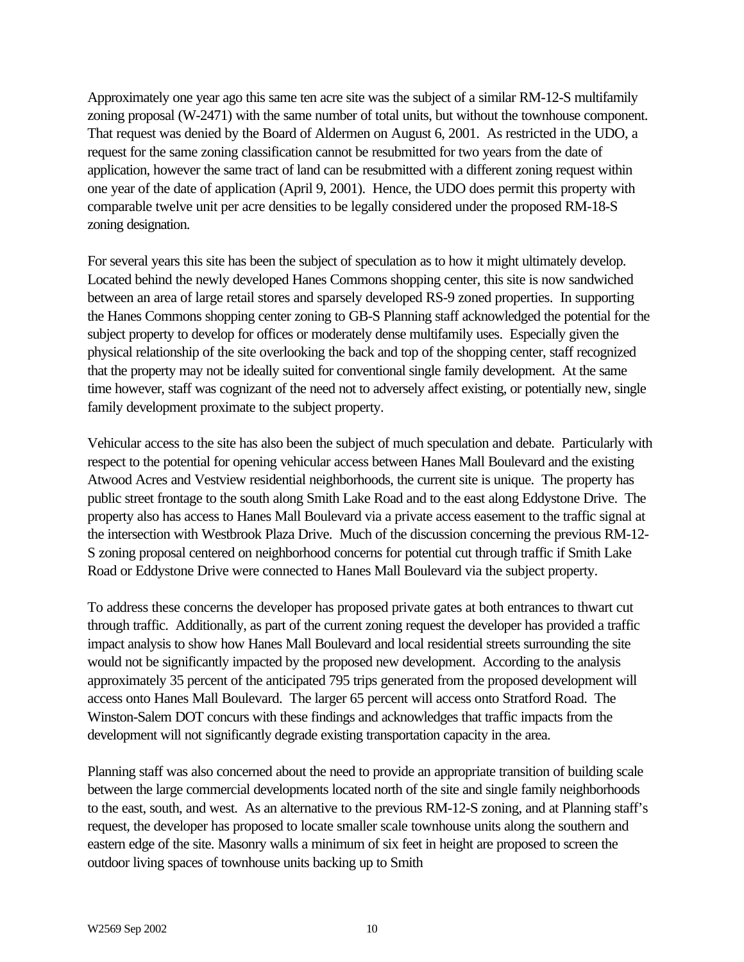Approximately one year ago this same ten acre site was the subject of a similar RM-12-S multifamily zoning proposal (W-2471) with the same number of total units, but without the townhouse component. That request was denied by the Board of Aldermen on August 6, 2001. As restricted in the UDO, a request for the same zoning classification cannot be resubmitted for two years from the date of application, however the same tract of land can be resubmitted with a different zoning request within one year of the date of application (April 9, 2001). Hence, the UDO does permit this property with comparable twelve unit per acre densities to be legally considered under the proposed RM-18-S zoning designation.

For several years this site has been the subject of speculation as to how it might ultimately develop. Located behind the newly developed Hanes Commons shopping center, this site is now sandwiched between an area of large retail stores and sparsely developed RS-9 zoned properties. In supporting the Hanes Commons shopping center zoning to GB-S Planning staff acknowledged the potential for the subject property to develop for offices or moderately dense multifamily uses. Especially given the physical relationship of the site overlooking the back and top of the shopping center, staff recognized that the property may not be ideally suited for conventional single family development. At the same time however, staff was cognizant of the need not to adversely affect existing, or potentially new, single family development proximate to the subject property.

Vehicular access to the site has also been the subject of much speculation and debate. Particularly with respect to the potential for opening vehicular access between Hanes Mall Boulevard and the existing Atwood Acres and Vestview residential neighborhoods, the current site is unique. The property has public street frontage to the south along Smith Lake Road and to the east along Eddystone Drive. The property also has access to Hanes Mall Boulevard via a private access easement to the traffic signal at the intersection with Westbrook Plaza Drive. Much of the discussion concerning the previous RM-12- S zoning proposal centered on neighborhood concerns for potential cut through traffic if Smith Lake Road or Eddystone Drive were connected to Hanes Mall Boulevard via the subject property.

To address these concerns the developer has proposed private gates at both entrances to thwart cut through traffic. Additionally, as part of the current zoning request the developer has provided a traffic impact analysis to show how Hanes Mall Boulevard and local residential streets surrounding the site would not be significantly impacted by the proposed new development. According to the analysis approximately 35 percent of the anticipated 795 trips generated from the proposed development will access onto Hanes Mall Boulevard. The larger 65 percent will access onto Stratford Road. The Winston-Salem DOT concurs with these findings and acknowledges that traffic impacts from the development will not significantly degrade existing transportation capacity in the area.

Planning staff was also concerned about the need to provide an appropriate transition of building scale between the large commercial developments located north of the site and single family neighborhoods to the east, south, and west. As an alternative to the previous RM-12-S zoning, and at Planning staff's request, the developer has proposed to locate smaller scale townhouse units along the southern and eastern edge of the site. Masonry walls a minimum of six feet in height are proposed to screen the outdoor living spaces of townhouse units backing up to Smith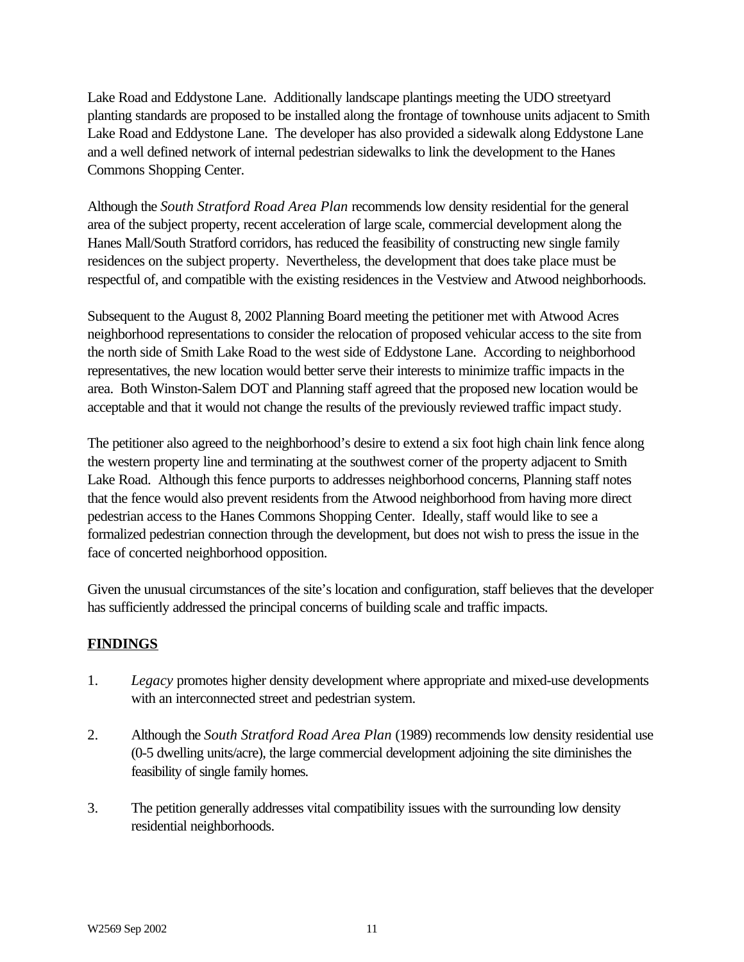Lake Road and Eddystone Lane. Additionally landscape plantings meeting the UDO streetyard planting standards are proposed to be installed along the frontage of townhouse units adjacent to Smith Lake Road and Eddystone Lane. The developer has also provided a sidewalk along Eddystone Lane and a well defined network of internal pedestrian sidewalks to link the development to the Hanes Commons Shopping Center.

Although the *South Stratford Road Area Plan* recommends low density residential for the general area of the subject property, recent acceleration of large scale, commercial development along the Hanes Mall/South Stratford corridors, has reduced the feasibility of constructing new single family residences on the subject property. Nevertheless, the development that does take place must be respectful of, and compatible with the existing residences in the Vestview and Atwood neighborhoods.

Subsequent to the August 8, 2002 Planning Board meeting the petitioner met with Atwood Acres neighborhood representations to consider the relocation of proposed vehicular access to the site from the north side of Smith Lake Road to the west side of Eddystone Lane. According to neighborhood representatives, the new location would better serve their interests to minimize traffic impacts in the area. Both Winston-Salem DOT and Planning staff agreed that the proposed new location would be acceptable and that it would not change the results of the previously reviewed traffic impact study.

The petitioner also agreed to the neighborhood's desire to extend a six foot high chain link fence along the western property line and terminating at the southwest corner of the property adjacent to Smith Lake Road. Although this fence purports to addresses neighborhood concerns, Planning staff notes that the fence would also prevent residents from the Atwood neighborhood from having more direct pedestrian access to the Hanes Commons Shopping Center. Ideally, staff would like to see a formalized pedestrian connection through the development, but does not wish to press the issue in the face of concerted neighborhood opposition.

Given the unusual circumstances of the site's location and configuration, staff believes that the developer has sufficiently addressed the principal concerns of building scale and traffic impacts.

## **FINDINGS**

- 1. *Legacy* promotes higher density development where appropriate and mixed-use developments with an interconnected street and pedestrian system.
- 2. Although the *South Stratford Road Area Plan* (1989) recommends low density residential use (0-5 dwelling units/acre), the large commercial development adjoining the site diminishes the feasibility of single family homes.
- 3. The petition generally addresses vital compatibility issues with the surrounding low density residential neighborhoods.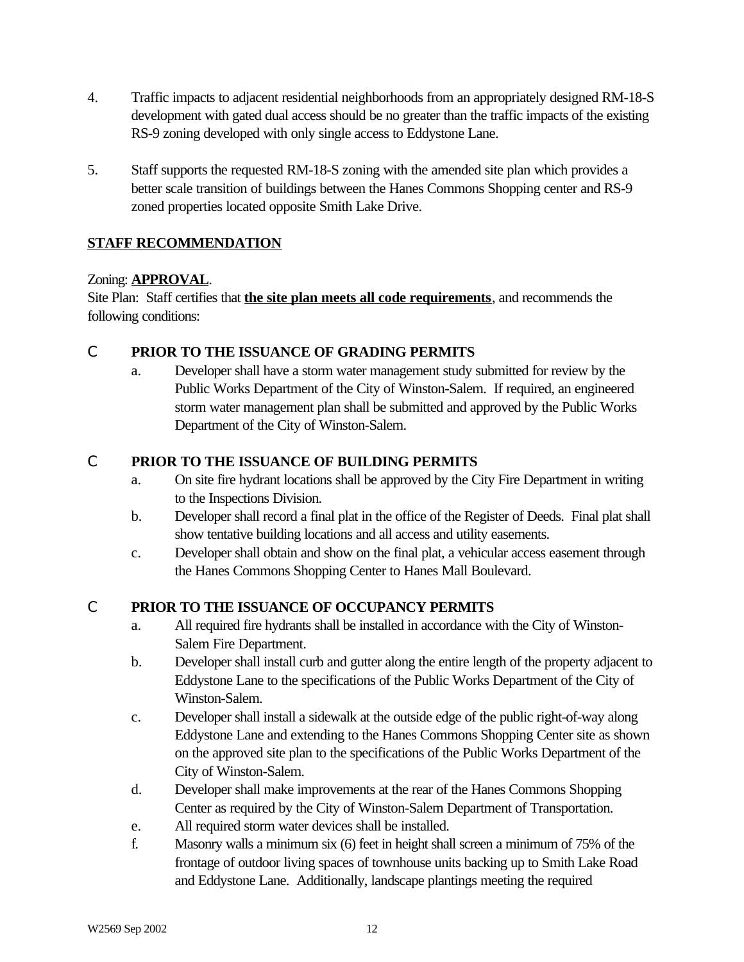- 4. Traffic impacts to adjacent residential neighborhoods from an appropriately designed RM-18-S development with gated dual access should be no greater than the traffic impacts of the existing RS-9 zoning developed with only single access to Eddystone Lane.
- 5. Staff supports the requested RM-18-S zoning with the amended site plan which provides a better scale transition of buildings between the Hanes Commons Shopping center and RS-9 zoned properties located opposite Smith Lake Drive.

# **STAFF RECOMMENDATION**

## Zoning: **APPROVAL**.

Site Plan: Staff certifies that **the site plan meets all code requirements**, and recommends the following conditions:

# C **PRIOR TO THE ISSUANCE OF GRADING PERMITS**

a. Developer shall have a storm water management study submitted for review by the Public Works Department of the City of Winston-Salem. If required, an engineered storm water management plan shall be submitted and approved by the Public Works Department of the City of Winston-Salem.

# C **PRIOR TO THE ISSUANCE OF BUILDING PERMITS**

- a. On site fire hydrant locations shall be approved by the City Fire Department in writing to the Inspections Division.
- b. Developer shall record a final plat in the office of the Register of Deeds. Final plat shall show tentative building locations and all access and utility easements.
- c. Developer shall obtain and show on the final plat, a vehicular access easement through the Hanes Commons Shopping Center to Hanes Mall Boulevard.

## C **PRIOR TO THE ISSUANCE OF OCCUPANCY PERMITS**

- a. All required fire hydrants shall be installed in accordance with the City of Winston-Salem Fire Department.
- b. Developer shall install curb and gutter along the entire length of the property adjacent to Eddystone Lane to the specifications of the Public Works Department of the City of Winston-Salem.
- c. Developer shall install a sidewalk at the outside edge of the public right-of-way along Eddystone Lane and extending to the Hanes Commons Shopping Center site as shown on the approved site plan to the specifications of the Public Works Department of the City of Winston-Salem.
- d. Developer shall make improvements at the rear of the Hanes Commons Shopping Center as required by the City of Winston-Salem Department of Transportation.
- e. All required storm water devices shall be installed.
- f. Masonry walls a minimum six (6) feet in height shall screen a minimum of 75% of the frontage of outdoor living spaces of townhouse units backing up to Smith Lake Road and Eddystone Lane. Additionally, landscape plantings meeting the required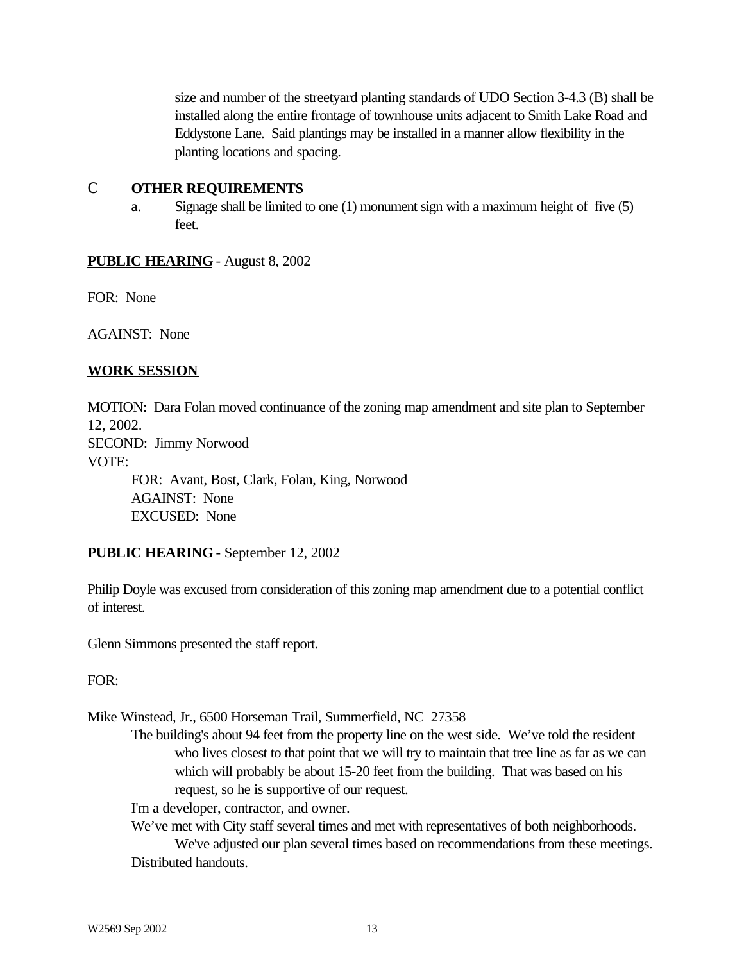size and number of the streetyard planting standards of UDO Section 3-4.3 (B) shall be installed along the entire frontage of townhouse units adjacent to Smith Lake Road and Eddystone Lane. Said plantings may be installed in a manner allow flexibility in the planting locations and spacing.

### C **OTHER REQUIREMENTS**

a. Signage shall be limited to one (1) monument sign with a maximum height of five (5) feet.

## **PUBLIC HEARING** - August 8, 2002

FOR: None

AGAINST: None

## **WORK SESSION**

MOTION: Dara Folan moved continuance of the zoning map amendment and site plan to September 12, 2002.

SECOND: Jimmy Norwood

VOTE:

FOR: Avant, Bost, Clark, Folan, King, Norwood AGAINST: None EXCUSED: None

## **PUBLIC HEARING** - September 12, 2002

Philip Doyle was excused from consideration of this zoning map amendment due to a potential conflict of interest.

Glenn Simmons presented the staff report.

## FOR:

Mike Winstead, Jr., 6500 Horseman Trail, Summerfield, NC 27358

The building's about 94 feet from the property line on the west side. We've told the resident who lives closest to that point that we will try to maintain that tree line as far as we can which will probably be about 15-20 feet from the building. That was based on his request, so he is supportive of our request.

I'm a developer, contractor, and owner.

We've met with City staff several times and met with representatives of both neighborhoods. We've adjusted our plan several times based on recommendations from these meetings. Distributed handouts.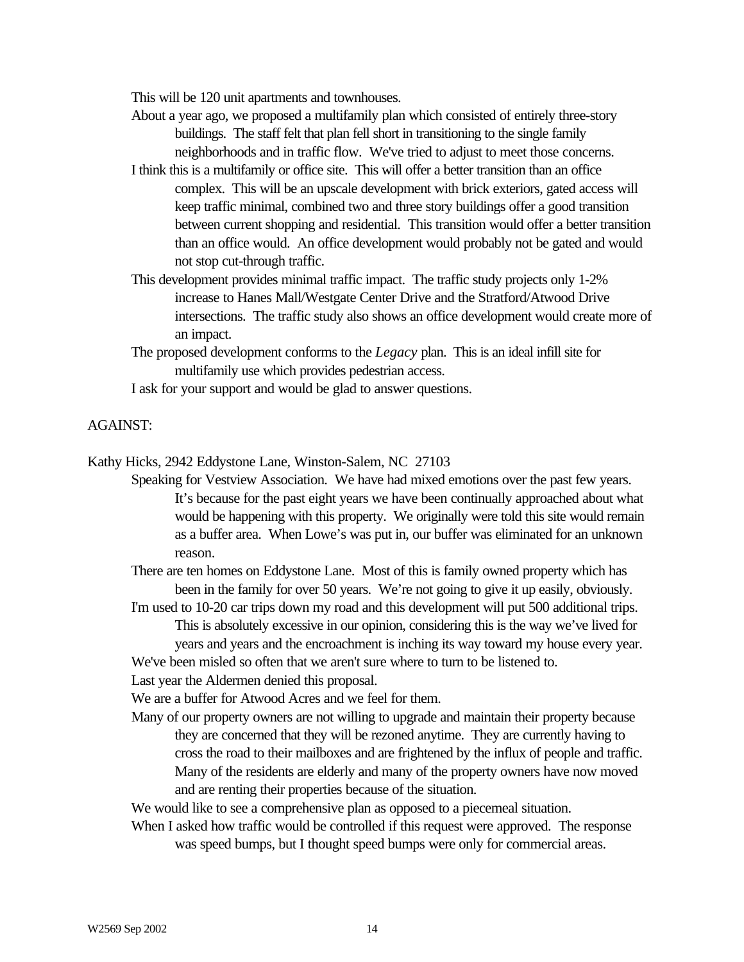This will be 120 unit apartments and townhouses.

- About a year ago, we proposed a multifamily plan which consisted of entirely three-story buildings. The staff felt that plan fell short in transitioning to the single family neighborhoods and in traffic flow. We've tried to adjust to meet those concerns.
- I think this is a multifamily or office site. This will offer a better transition than an office complex. This will be an upscale development with brick exteriors, gated access will keep traffic minimal, combined two and three story buildings offer a good transition between current shopping and residential. This transition would offer a better transition than an office would. An office development would probably not be gated and would not stop cut-through traffic.
- This development provides minimal traffic impact. The traffic study projects only 1-2% increase to Hanes Mall/Westgate Center Drive and the Stratford/Atwood Drive intersections. The traffic study also shows an office development would create more of an impact.
- The proposed development conforms to the *Legacy* plan. This is an ideal infill site for multifamily use which provides pedestrian access.
- I ask for your support and would be glad to answer questions.

#### AGAINST:

Kathy Hicks, 2942 Eddystone Lane, Winston-Salem, NC 27103

Speaking for Vestview Association. We have had mixed emotions over the past few years. It's because for the past eight years we have been continually approached about what would be happening with this property. We originally were told this site would remain as a buffer area. When Lowe's was put in, our buffer was eliminated for an unknown reason.

There are ten homes on Eddystone Lane. Most of this is family owned property which has been in the family for over 50 years. We're not going to give it up easily, obviously.

I'm used to 10-20 car trips down my road and this development will put 500 additional trips. This is absolutely excessive in our opinion, considering this is the way we've lived for years and years and the encroachment is inching its way toward my house every year.

We've been misled so often that we aren't sure where to turn to be listened to.

Last year the Aldermen denied this proposal.

We are a buffer for Atwood Acres and we feel for them.

Many of our property owners are not willing to upgrade and maintain their property because they are concerned that they will be rezoned anytime. They are currently having to cross the road to their mailboxes and are frightened by the influx of people and traffic. Many of the residents are elderly and many of the property owners have now moved and are renting their properties because of the situation.

We would like to see a comprehensive plan as opposed to a piecemeal situation.

When I asked how traffic would be controlled if this request were approved. The response was speed bumps, but I thought speed bumps were only for commercial areas.